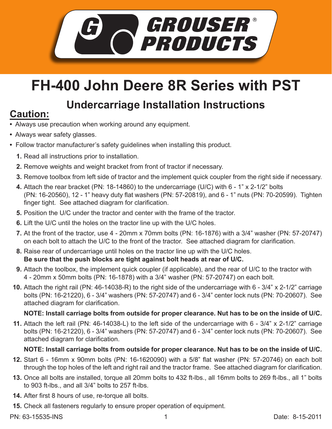

## **FH-400 John Deere 8R Series with PST**

# **Undercarriage Installation Instructions Caution:**

- Always use precaution when working around any equipment.
- Always wear safety glasses.
- Follow tractor manufacturer's safety guidelines when installing this product.
	- **1.** Read all instructions prior to installation.
	- 2. Remove weights and weight bracket from front of tractor if necessary.
	- **3.** Remove toolbox from left side of tractor and the implement quick coupler from the right side if necessary.
	- Attach the rear bracket (PN: 18-14860) to the undercarriage (U/C) with 6 1" x 2-1/2" bolts **4.** (PN: 16-20560), 12 - 1" heavy duty flat washers (PN: 57-20819), and 6 - 1" nuts (PN: 70-20599). Tighten finger tight. See attached diagram for clarification.
	- **5.** Position the U/C under the tractor and center with the frame of the tractor.
	- **6.** Lift the U/C until the holes on the tractor line up with the U/C holes.
	- At the front of the tractor, use 4 20mm x 70mm bolts (PN: 16-1876) with a 3/4" washer (PN: 57-20747) **7.** on each bolt to attach the U/C to the front of the tractor. See attached diagram for clarification.
	- Raise rear of undercarriage until holes on the tractor line up with the U/C holes. **8. Be sure that the push blocks are tight against bolt heads at rear of U/C.**
	- Attach the toolbox, the implement quick coupler (if applicable), and the rear of U/C to the tractor with **9.** 4 - 20mm x 50mm bolts (PN: 16-1878) with a 3/4" washer (PN: 57-20747) on each bolt.
	- Attach the right rail (PN: 46-14038-R) to the right side of the undercarriage with 6 3/4" x 2-1/2" carriage **10.** bolts (PN: 16-21220), 6 - 3/4" washers (PN: 57-20747) and 6 - 3/4" center lock nuts (PN: 70-20607). See attached diagram for clarification.

## **NOTE: Install carriage bolts from outside for proper clearance. Nut has to be on the inside of U/C.**

Attach the left rail (PN: 46-14038-L) to the left side of the undercarriage with 6 - 3/4" x 2-1/2" carriage **11.** bolts (PN: 16-21220), 6 - 3/4" washers (PN: 57-20747) and 6 - 3/4" center lock nuts (PN: 70-20607). See attached diagram for clarification.

## **NOTE: Install carriage bolts from outside for proper clearance. Nut has to be on the inside of U/C.**

- **12.** Start 6 16mm x 90mm bolts (PN: 16-1620090) with a 5/8" flat washer (PN: 57-20746) on each bolt through the top holes of the left and right rail and the tractor frame. See attached diagram for clarification.
- **13.** Once all bolts are installed, torque all 20mm bolts to 432 ft-lbs., all 16mm bolts to 269 ft-lbs., all 1" bolts to 903 ft-lbs., and all 3/4" bolts to 257 ft-lbs.
- After first 8 hours of use, re-torque all bolts. **14.**
- **15.** Check all fasteners regularly to ensure proper operation of equipment.